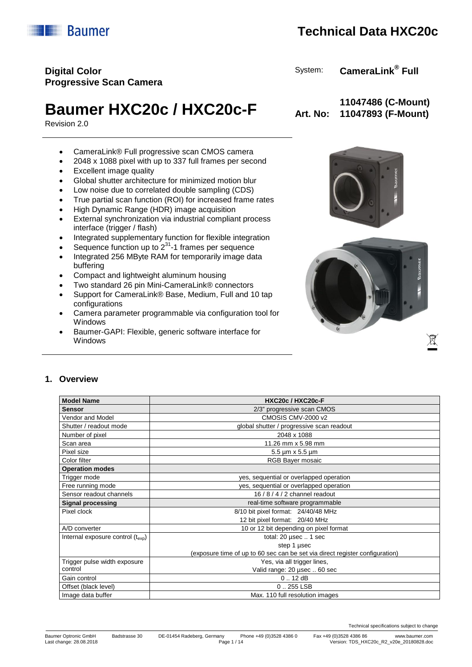Technical specifications subject to change

Version: TDS\_HXC20c\_R2\_v20e\_20180828.doc

## **Digital Color Progressive Scan Camera**

# **Baumer HXC20c / HXC20c-F**  $_{Art. No:}$

Revision 2.0

- CameraLink® Full progressive scan CMOS camera
- 2048 x 1088 pixel with up to 337 full frames per second
- Excellent image quality
- Global shutter architecture for minimized motion blur
- Low noise due to correlated double sampling (CDS)
- True partial scan function (ROI) for increased frame rates
- High Dynamic Range (HDR) image acquisition
- External synchronization via industrial compliant process interface (trigger / flash)
- Integrated supplementary function for flexible integration
- Sequence function up to  $2^{31}$ -1 frames per sequence
- Integrated 256 MByte RAM for temporarily image data buffering
- Compact and lightweight aluminum housing
- Two standard 26 pin Mini-CameraLink® connectors
- Support for CameraLink® Base, Medium, Full and 10 tap configurations
- Camera parameter programmable via configuration tool for Windows
- Baumer-GAPI: Flexible, generic software interface for Windows





#### **1. Overview**

| <b>Model Name</b>                         | HXC20c / HXC20c-F                                                            |  |  |  |
|-------------------------------------------|------------------------------------------------------------------------------|--|--|--|
| <b>Sensor</b>                             | 2/3" progressive scan CMOS                                                   |  |  |  |
| Vendor and Model                          | CMOSIS CMV-2000 v2                                                           |  |  |  |
| Shutter / readout mode                    | global shutter / progressive scan readout                                    |  |  |  |
| Number of pixel                           | 2048 x 1088                                                                  |  |  |  |
| Scan area                                 | 11.26 mm x 5.98 mm                                                           |  |  |  |
| Pixel size                                | 5.5 µm x 5.5 µm                                                              |  |  |  |
| Color filter                              | RGB Bayer mosaic                                                             |  |  |  |
| <b>Operation modes</b>                    |                                                                              |  |  |  |
| Trigger mode                              | yes, sequential or overlapped operation                                      |  |  |  |
| Free running mode                         | yes, sequential or overlapped operation                                      |  |  |  |
| Sensor readout channels                   | 16 / 8 / 4 / 2 channel readout                                               |  |  |  |
| <b>Signal processing</b>                  | real-time software programmable                                              |  |  |  |
| Pixel clock                               | 8/10 bit pixel format: 24/40/48 MHz                                          |  |  |  |
|                                           | 12 bit pixel format: 20/40 MHz                                               |  |  |  |
| A/D converter                             | 10 or 12 bit depending on pixel format                                       |  |  |  |
| Internal exposure control $(t_{\rm exp})$ | total: $20 \mu$ sec $\ldots$ 1 sec                                           |  |  |  |
|                                           | step 1 µsec                                                                  |  |  |  |
|                                           | (exposure time of up to 60 sec can be set via direct register configuration) |  |  |  |
| Trigger pulse width exposure              | Yes, via all trigger lines,                                                  |  |  |  |
| control                                   | Valid range: 20 usec  60 sec                                                 |  |  |  |
| Gain control                              | 0.12 dB                                                                      |  |  |  |
| Offset (black level)                      | $0.255$ LSB                                                                  |  |  |  |
| Image data buffer                         | Max. 110 full resolution images                                              |  |  |  |

**11047486 (C-Mount)**

System: **CameraLink® Full**

**11047893 (F-Mount)**

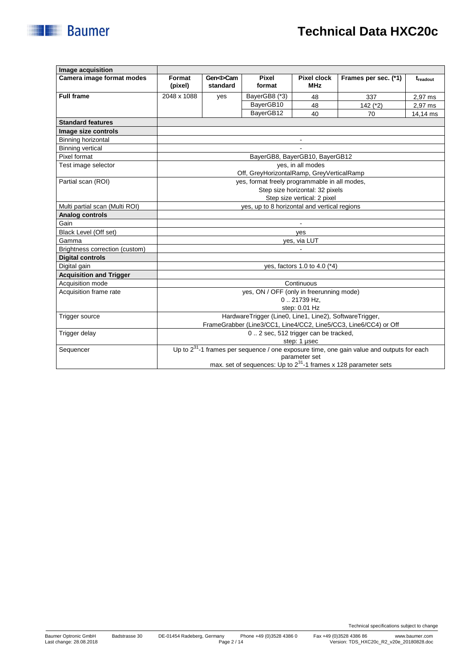| <b>Technical Data HXC20c</b> |
|------------------------------|
|                              |
|                              |
|                              |

| Image acquisition                                         |                                                         |                             |                                               |                                  |                                                                                                |          |
|-----------------------------------------------------------|---------------------------------------------------------|-----------------------------|-----------------------------------------------|----------------------------------|------------------------------------------------------------------------------------------------|----------|
| Camera image format modes                                 | Format<br>(pixel)                                       | Gen <i>Cam<br/>standard</i> | Pixel<br>format                               | <b>Pixel clock</b><br><b>MHz</b> | Frames per sec. (*1)                                                                           | treadout |
| <b>Full frame</b>                                         | 2048 x 1088                                             | yes                         | BayerGB8 (*3)                                 | 48                               | 337                                                                                            | 2,97 ms  |
|                                                           |                                                         |                             | BayerGB10                                     | 48                               | 142 (*2)                                                                                       | 2.97 ms  |
|                                                           |                                                         |                             | BayerGB12                                     | 40                               | 70                                                                                             | 14,14 ms |
| <b>Standard features</b>                                  |                                                         |                             |                                               |                                  |                                                                                                |          |
| Image size controls                                       |                                                         |                             |                                               |                                  |                                                                                                |          |
| Binning horizontal                                        |                                                         |                             |                                               | $\blacksquare$                   |                                                                                                |          |
| <b>Binning vertical</b>                                   |                                                         |                             |                                               |                                  |                                                                                                |          |
| Pixel format                                              |                                                         |                             |                                               | BayerGB8, BayerGB10, BayerGB12   |                                                                                                |          |
| Test image selector                                       |                                                         |                             |                                               | ves, in all modes                |                                                                                                |          |
|                                                           |                                                         |                             | Off, GreyHorizontalRamp, GreyVerticalRamp     |                                  |                                                                                                |          |
| Partial scan (ROI)                                        |                                                         |                             | yes, format freely programmable in all modes, |                                  |                                                                                                |          |
|                                                           |                                                         |                             |                                               | Step size horizontal: 32 pixels  |                                                                                                |          |
|                                                           |                                                         |                             |                                               | Step size vertical: 2 pixel      |                                                                                                |          |
| Multi partial scan (Multi ROI)                            | yes, up to 8 horizontal and vertical regions            |                             |                                               |                                  |                                                                                                |          |
| Analog controls                                           |                                                         |                             |                                               |                                  |                                                                                                |          |
| Gain                                                      |                                                         |                             |                                               |                                  |                                                                                                |          |
| Black Level (Off set)                                     | yes                                                     |                             |                                               |                                  |                                                                                                |          |
| Gamma                                                     | ves, via LUT                                            |                             |                                               |                                  |                                                                                                |          |
| Brightness correction (custom)<br><b>Digital controls</b> |                                                         |                             |                                               |                                  |                                                                                                |          |
| Digital gain                                              | yes, factors 1.0 to 4.0 (*4)                            |                             |                                               |                                  |                                                                                                |          |
| <b>Acquisition and Trigger</b>                            |                                                         |                             |                                               |                                  |                                                                                                |          |
| Acquisition mode                                          |                                                         |                             |                                               | Continuous                       |                                                                                                |          |
| Acquisition frame rate                                    | yes, ON / OFF (only in freerunning mode)                |                             |                                               |                                  |                                                                                                |          |
|                                                           |                                                         |                             |                                               | 021739 Hz.                       |                                                                                                |          |
|                                                           | step: 0.01 Hz                                           |                             |                                               |                                  |                                                                                                |          |
| Trigger source                                            | HardwareTrigger (Line0, Line1, Line2), SoftwareTrigger, |                             |                                               |                                  |                                                                                                |          |
|                                                           |                                                         |                             |                                               |                                  | FrameGrabber (Line3/CC1, Line4/CC2, Line5/CC3, Line6/CC4) or Off                               |          |
| Trigger delay                                             |                                                         |                             | 02 sec, 512 trigger can be tracked,           |                                  |                                                                                                |          |
|                                                           |                                                         |                             |                                               | step: 1 usec                     |                                                                                                |          |
| Sequencer                                                 |                                                         |                             |                                               |                                  | Up to $2^{31}$ -1 frames per sequence / one exposure time, one gain value and outputs for each |          |
|                                                           |                                                         |                             |                                               | parameter set                    |                                                                                                |          |
|                                                           |                                                         |                             |                                               |                                  | max. set of sequences: Up to $2^{31}$ -1 frames x 128 parameter sets                           |          |

**Baumer**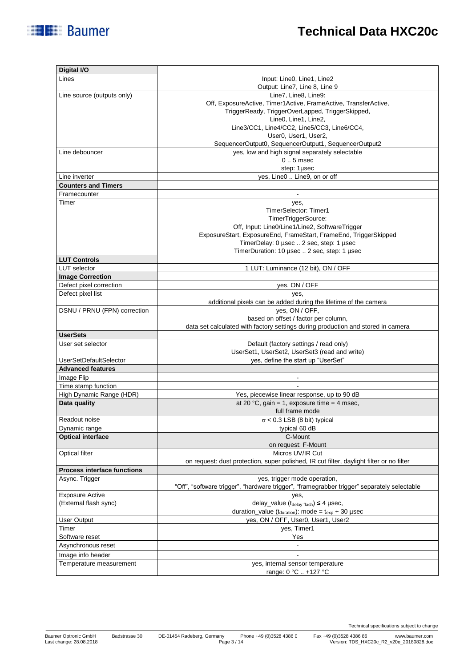| Digital I/O                        |                                                                                             |
|------------------------------------|---------------------------------------------------------------------------------------------|
| Lines                              | Input: Line0, Line1, Line2                                                                  |
|                                    | Output: Line7, Line 8, Line 9                                                               |
| Line source (outputs only)         | Line7, Line8, Line9:                                                                        |
|                                    | Off, ExposureActive, Timer1Active, FrameActive, TransferActive,                             |
|                                    | TriggerReady, TriggerOverLapped, TriggerSkipped,<br>Line0, Line1, Line2,                    |
|                                    | Line3/CC1, Line4/CC2, Line5/CC3, Line6/CC4,                                                 |
|                                    | User0, User1, User2,                                                                        |
|                                    | SequencerOutput0, SequencerOutput1, SequencerOutput2                                        |
| Line debouncer                     | yes, low and high signal separately selectable                                              |
|                                    | $0.5$ msec                                                                                  |
|                                    | step: 1µsec                                                                                 |
| Line inverter                      | yes, Line0  Line9, on or off                                                                |
| <b>Counters and Timers</b>         |                                                                                             |
| Framecounter                       | $\blacksquare$                                                                              |
| Timer                              | yes,                                                                                        |
|                                    | <b>TimerSelector: Timer1</b>                                                                |
|                                    | TimerTriggerSource:                                                                         |
|                                    | Off, Input: Line0/Line1/Line2, SoftwareTrigger                                              |
|                                    | ExposureStart, ExposureEnd, FrameStart, FrameEnd, TriggerSkipped                            |
|                                    | TimerDelay: 0 µsec  2 sec, step: 1 µsec                                                     |
|                                    | TimerDuration: 10 µsec  2 sec, step: 1 µsec                                                 |
| <b>LUT Controls</b>                |                                                                                             |
| <b>LUT</b> selector                | 1 LUT: Luminance (12 bit), ON / OFF                                                         |
| <b>Image Correction</b>            |                                                                                             |
| Defect pixel correction            | yes, ON / OFF                                                                               |
| Defect pixel list                  | yes,                                                                                        |
|                                    | additional pixels can be added during the lifetime of the camera                            |
| DSNU / PRNU (FPN) correction       | yes, ON / OFF,<br>based on offset / factor per column,                                      |
|                                    | data set calculated with factory settings during production and stored in camera            |
| <b>UserSets</b>                    |                                                                                             |
| User set selector                  | Default (factory settings / read only)                                                      |
|                                    | UserSet1, UserSet2, UserSet3 (read and write)                                               |
| <b>UserSetDefaultSelector</b>      | yes, define the start up "UserSet"                                                          |
| <b>Advanced features</b>           |                                                                                             |
| Image Flip                         | $\blacksquare$                                                                              |
| Time stamp function                |                                                                                             |
| High Dynamic Range (HDR)           | Yes, piecewise linear response, up to 90 dB                                                 |
| Data quality                       | at 20 °C, gain = 1, exposure time = 4 msec,                                                 |
|                                    | full frame mode                                                                             |
| Readout noise                      | $\sigma$ < 0.3 LSB (8 bit) typical                                                          |
| Dynamic range                      | typical 60 dB                                                                               |
| <b>Optical interface</b>           | C-Mount                                                                                     |
|                                    | on request: F-Mount                                                                         |
| Optical filter                     | Micros UV/IR Cut                                                                            |
|                                    | on request: dust protection, super polished, IR cut filter, daylight filter or no filter    |
| <b>Process interface functions</b> |                                                                                             |
| Async. Trigger                     | yes, trigger mode operation,                                                                |
|                                    | "Off", "software trigger", "hardware trigger", "framegrabber trigger" separately selectable |
| <b>Exposure Active</b>             | yes.                                                                                        |
| (External flash sync)              | delay_value $(t_{\text{delay flash}}) \leq 4$ µsec,                                         |
|                                    | duration_value ( $t_{\text{duration}}$ ): mode = $t_{\text{exp}}$ + 30 µsec                 |
| <b>User Output</b>                 | yes, ON / OFF, User0, User1, User2                                                          |
| Timer                              | yes, Timer1                                                                                 |
| Software reset                     | Yes                                                                                         |
| Asynchronous reset                 | ä,                                                                                          |
| Image info header                  |                                                                                             |
| Temperature measurement            | yes, internal sensor temperature                                                            |
|                                    | range: 0 °C  +127 °C                                                                        |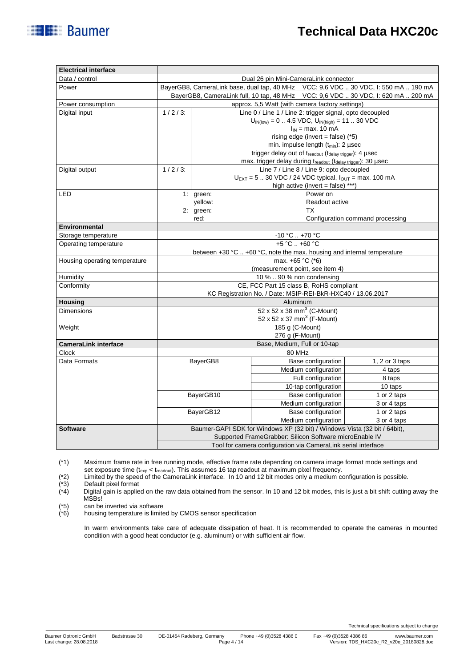| Data / control                                                                                                                                           | Dual 26 pin Mini-CameraLink connector                                                  |                                                                               |                                                                                      |                                  |  |  |  |
|----------------------------------------------------------------------------------------------------------------------------------------------------------|----------------------------------------------------------------------------------------|-------------------------------------------------------------------------------|--------------------------------------------------------------------------------------|----------------------------------|--|--|--|
| Power                                                                                                                                                    | BayerGB8, CameraLink base, dual tap, 40 MHz    VCC: 9,6 VDC  30 VDC, I: 550 mA  190 mA |                                                                               |                                                                                      |                                  |  |  |  |
|                                                                                                                                                          |                                                                                        |                                                                               | BayerGB8, CameraLink full, 10 tap, 48 MHz    VCC: 9,6 VDC  30 VDC, I: 620 mA  200 mA |                                  |  |  |  |
| Power consumption                                                                                                                                        | approx. 5,5 Watt (with camera factory settings)                                        |                                                                               |                                                                                      |                                  |  |  |  |
| Digital input                                                                                                                                            | Line 0 / Line 1 / Line 2: trigger signal, opto decoupled<br>$1/2/3$ :                  |                                                                               |                                                                                      |                                  |  |  |  |
|                                                                                                                                                          | $U_{IN(low)} = 0$ 4.5 VDC, $U_{IN(high)} = 11$ 30 VDC                                  |                                                                               |                                                                                      |                                  |  |  |  |
|                                                                                                                                                          |                                                                                        |                                                                               | $I_{IN}$ = max. 10 mA                                                                |                                  |  |  |  |
|                                                                                                                                                          | rising edge (invert = false) $(*5)$                                                    |                                                                               |                                                                                      |                                  |  |  |  |
|                                                                                                                                                          | min. impulse length (t <sub>min</sub> ): 2 usec                                        |                                                                               |                                                                                      |                                  |  |  |  |
|                                                                                                                                                          |                                                                                        | trigger delay out of treadout (tdelay trigger): 4 µsec                        |                                                                                      |                                  |  |  |  |
|                                                                                                                                                          |                                                                                        |                                                                               | max. trigger delay during treadout (tdelay trigger): 30 µsec                         |                                  |  |  |  |
| Digital output                                                                                                                                           | $1/2/3$ :                                                                              |                                                                               | Line 7 / Line 8 / Line 9: opto decoupled                                             |                                  |  |  |  |
|                                                                                                                                                          |                                                                                        | $U_{\text{EXT}}$ = 5  30 VDC / 24 VDC typical, $I_{\text{OUT}}$ = max. 100 mA |                                                                                      |                                  |  |  |  |
|                                                                                                                                                          |                                                                                        |                                                                               | high active (invert = false) ***)                                                    |                                  |  |  |  |
| LED                                                                                                                                                      |                                                                                        | 1: green:                                                                     | Power on                                                                             |                                  |  |  |  |
|                                                                                                                                                          |                                                                                        | yellow:                                                                       | Readout active                                                                       |                                  |  |  |  |
|                                                                                                                                                          |                                                                                        | 2: green:                                                                     | ТX                                                                                   |                                  |  |  |  |
|                                                                                                                                                          |                                                                                        | red:                                                                          |                                                                                      | Configuration command processing |  |  |  |
| Environmental                                                                                                                                            |                                                                                        |                                                                               |                                                                                      |                                  |  |  |  |
| Storage temperature                                                                                                                                      |                                                                                        |                                                                               | $-10 °C  +70 °C$<br>+5 °C  +60 °C                                                    |                                  |  |  |  |
| Operating temperature                                                                                                                                    |                                                                                        |                                                                               |                                                                                      |                                  |  |  |  |
|                                                                                                                                                          |                                                                                        |                                                                               | between +30 °C  +60 °C, note the max. housing and internal temperature               |                                  |  |  |  |
| Housing operating temperature                                                                                                                            |                                                                                        |                                                                               | max. +65 °C (*6)                                                                     |                                  |  |  |  |
|                                                                                                                                                          | (measurement point, see item 4)                                                        |                                                                               |                                                                                      |                                  |  |  |  |
| Humidity                                                                                                                                                 | 10 %  90 % non condensing                                                              |                                                                               |                                                                                      |                                  |  |  |  |
| Conformity                                                                                                                                               | CE, FCC Part 15 class B, RoHS compliant                                                |                                                                               |                                                                                      |                                  |  |  |  |
|                                                                                                                                                          | KC Registration No. / Date: MSIP-REI-BkR-HXC40 / 13.06.2017                            |                                                                               |                                                                                      |                                  |  |  |  |
| <b>Housing</b><br><b>Dimensions</b>                                                                                                                      | Aluminum                                                                               |                                                                               |                                                                                      |                                  |  |  |  |
|                                                                                                                                                          | $52 \times 52 \times 38$ mm <sup>3</sup> (C-Mount)                                     |                                                                               |                                                                                      |                                  |  |  |  |
| Weight                                                                                                                                                   | 52 x 52 x 37 mm <sup>3</sup> (F-Mount)<br>185 g (C-Mount)                              |                                                                               |                                                                                      |                                  |  |  |  |
|                                                                                                                                                          |                                                                                        |                                                                               |                                                                                      |                                  |  |  |  |
|                                                                                                                                                          | 276 g (F-Mount)                                                                        |                                                                               |                                                                                      |                                  |  |  |  |
| <b>CameraLink interface</b><br><b>Clock</b>                                                                                                              | Base, Medium, Full or 10-tap<br>80 MHz                                                 |                                                                               |                                                                                      |                                  |  |  |  |
| Data Formats                                                                                                                                             |                                                                                        |                                                                               | Base configuration                                                                   | 1, 2 or $3$ taps                 |  |  |  |
|                                                                                                                                                          | BayerGB8                                                                               |                                                                               | Medium configuration                                                                 | 4 taps                           |  |  |  |
|                                                                                                                                                          |                                                                                        |                                                                               |                                                                                      |                                  |  |  |  |
|                                                                                                                                                          |                                                                                        |                                                                               | Full configuration                                                                   | 8 taps                           |  |  |  |
|                                                                                                                                                          |                                                                                        |                                                                               | 10-tap configuration                                                                 | 10 taps                          |  |  |  |
|                                                                                                                                                          |                                                                                        | BayerGB10                                                                     | <b>Base configuration</b>                                                            | 1 or 2 taps                      |  |  |  |
|                                                                                                                                                          |                                                                                        |                                                                               | Medium configuration                                                                 | 3 or 4 taps                      |  |  |  |
|                                                                                                                                                          |                                                                                        | BayerGB12                                                                     | Base configuration                                                                   | 1 or 2 taps                      |  |  |  |
|                                                                                                                                                          | Medium configuration                                                                   |                                                                               |                                                                                      | 3 or 4 taps                      |  |  |  |
| Baumer-GAPI SDK for Windows XP (32 bit) / Windows Vista (32 bit / 64 bit),<br><b>Software</b><br>Supported FrameGrabber: Silicon Software microEnable IV |                                                                                        |                                                                               |                                                                                      |                                  |  |  |  |
|                                                                                                                                                          | Tool for camera configuration via CameraLink serial interface                          |                                                                               |                                                                                      |                                  |  |  |  |
|                                                                                                                                                          |                                                                                        |                                                                               |                                                                                      |                                  |  |  |  |

(\*1) Maximum frame rate in free running mode, effective frame rate depending on camera image format mode settings and set exposure time (t<sub>exp</sub> < t<sub>readout</sub>). This assumes 16 tap readout at maximum pixel frequency.

Default pixel format

**Electrical interface**

**Baumer** 

(\*2) Limited by the speed of the CameraLink interface. In 10 and 12 bit modes only a medium configuration is possible.<br>(\*3) Default pixel format<br>(\*4) Digital gain is applied on the raw data obtained from the sensor. In 10 Digital gain is applied on the raw data obtained from the sensor. In 10 and 12 bit modes, this is just a bit shift cutting away the MSBs!

 $(*5)$  can be inverted via software<br> $(*6)$  housing temperature is limite

housing temperature is limited by CMOS sensor specification

In warm environments take care of adequate dissipation of heat. It is recommended to operate the cameras in mounted condition with a good heat conductor (e.g. aluminum) or with sufficient air flow.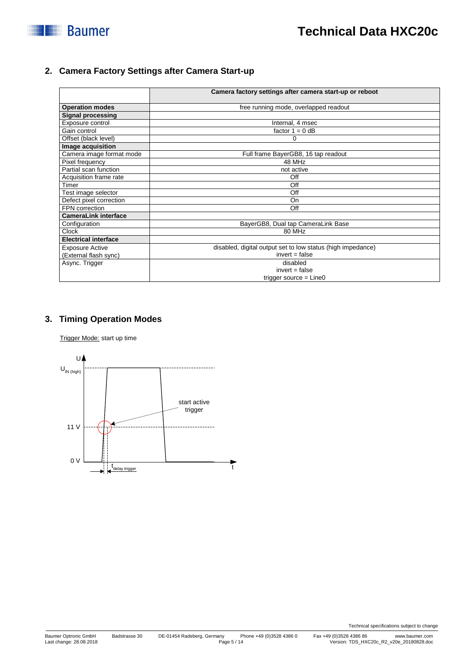

#### **2. Camera Factory Settings after Camera Start-up**

|                             | Camera factory settings after camera start-up or reboot     |  |
|-----------------------------|-------------------------------------------------------------|--|
| <b>Operation modes</b>      | free running mode, overlapped readout                       |  |
| <b>Signal processing</b>    |                                                             |  |
| Exposure control            | Internal, 4 msec                                            |  |
| Gain control                | factor $1 = 0$ dB                                           |  |
| Offset (black level)        | 0                                                           |  |
| Image acquisition           |                                                             |  |
| Camera image format mode    | Full frame BayerGB8, 16 tap readout                         |  |
| Pixel frequency             | 48 MHz                                                      |  |
| Partial scan function       | not active                                                  |  |
| Acquisition frame rate      | Off                                                         |  |
| Timer                       | Off                                                         |  |
| Test image selector         | Off                                                         |  |
| Defect pixel correction     | <b>On</b>                                                   |  |
| FPN correction              | Off                                                         |  |
| <b>CameraLink interface</b> |                                                             |  |
| Configuration               | BayerGB8, Dual tap CameraLink Base                          |  |
| <b>Clock</b>                | 80 MHz                                                      |  |
| <b>Electrical interface</b> |                                                             |  |
| <b>Exposure Active</b>      | disabled, digital output set to low status (high impedance) |  |
| (External flash sync)       | $invert = false$                                            |  |
| Async. Trigger              | disabled                                                    |  |
|                             | $invert = false$                                            |  |
|                             | trigger source $=$ Line0                                    |  |

#### **3. Timing Operation Modes**

Trigger Mode: start up time

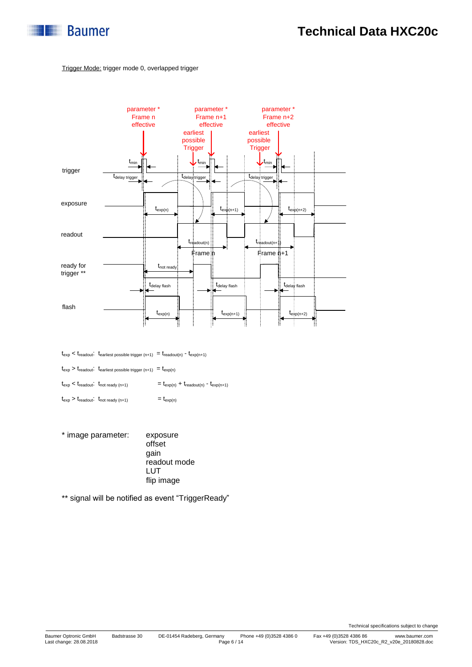

#### Trigger Mode: trigger mode 0, overlapped trigger



 $t_{\rm exp} < t_{\rm readout} \cdot t_{\rm earliest\ possible\ trigger\ (n+1)} \ = t_{\rm readout(n)} \ - t_{\rm exp(n+1)}$ 

 $t_{\text{exp}} > t_{\text{readout}}$ :  $t_{\text{earliest possible trigger (n+1)}} = t_{\text{exp(n)}}$ 

 $t_{\text{exp}} < t_{\text{readout}}$ :  $t_{\text{not ready (n+1)}}$  =  $t_{\text{exp(n)}} + t_{\text{readout(n)}}$  -  $t_{\text{exp(n+1)}}$ 

- $t_{\exp} > t_{\text{readout}}$ :  $t_{\text{not ready (n+1)}}$  =  $t_{\exp(n)}$
- \* image parameter: exposure offset gain readout mode LUT flip image

\*\* signal will be notified as event "TriggerReady"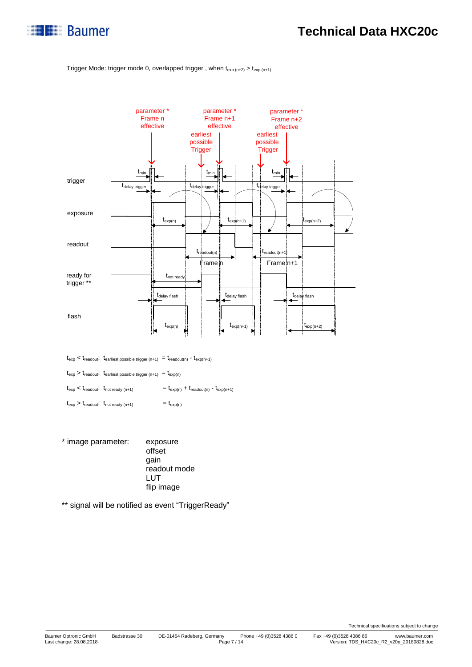

#### Trigger Mode: trigger mode 0, overlapped trigger, when  $t_{exp(n+2)} > t_{exp(n+1)}$



 $t_{\text{exp}} < t_{\text{readout}}$ :  $t_{\text{earliest possible trigger (n+1)}} = t_{\text{readout(n)}} - t_{\text{exp(n+1)}}$ 

 $t_{\text{exp}} > t_{\text{readout}}$ .  $t_{\text{earliest possible trigger (n+1)}} = t_{\text{exp}(n)}$ 

 $t_{\text{exp}} < t_{\text{readout}}$ :  $t_{\text{not ready (n+1)}}$  =  $t_{\text{exp(n)}} + t_{\text{readout(n)}}$  -  $t_{\text{exp(n+1)}}$ 

 $t_{\exp} > t_{\text{readout}}$ :  $t_{\text{not ready (n+1)}}$  =  $t_{\exp(n)}$ 

\* image parameter: exposure offset gain readout mode LUT flip image

\*\* signal will be notified as event "TriggerReady"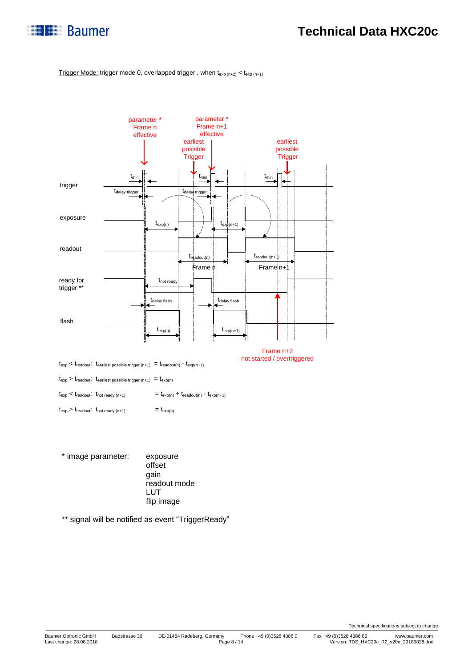

Trigger Mode: trigger mode 0, overlapped trigger, when  $t_{exp(n+2)} < t_{exp(n+1)}$ 



\* image parameter: exposure offset gain readout mode LUT flip image

\*\* signal will be notified as event "TriggerReady"

Technical specifications subject to change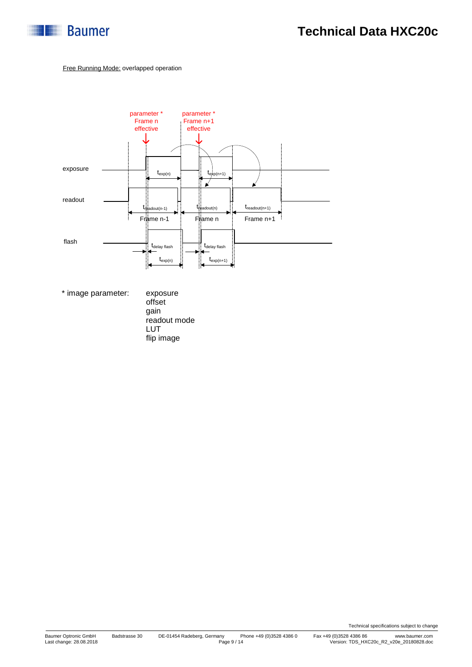

#### Free Running Mode: overlapped operation



\* image parameter: exposure

offset gain readout mode LUT flip image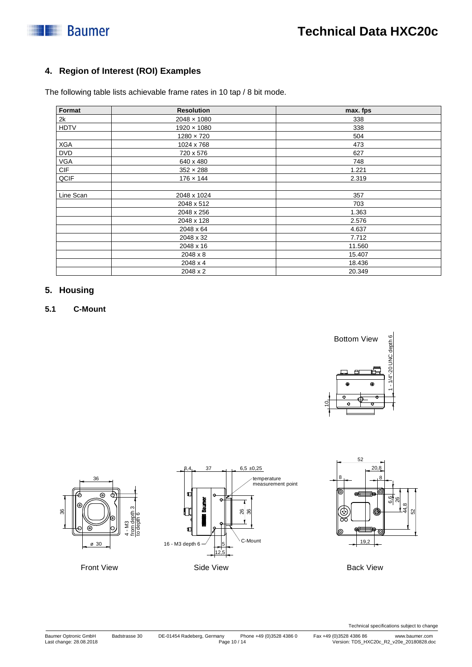# **Baumer**

### **4. Region of Interest (ROI) Examples**

The following table lists achievable frame rates in 10 tap / 8 bit mode.

| Format      | <b>Resolution</b>  | max. fps |  |  |
|-------------|--------------------|----------|--|--|
| 2k          | $2048 \times 1080$ | 338      |  |  |
| <b>HDTV</b> | $1920 \times 1080$ | 338      |  |  |
|             | $1280 \times 720$  | 504      |  |  |
| XGA         | 1024 x 768         | 473      |  |  |
| <b>DVD</b>  | 720 x 576          | 627      |  |  |
| VGA         | 640 x 480          | 748      |  |  |
| CIF         | $352 \times 288$   | 1.221    |  |  |
| QCIF        | $176 \times 144$   | 2.319    |  |  |
| Line Scan   | 2048 x 1024        | 357      |  |  |
|             | 2048 x 512         | 703      |  |  |
|             | 2048 x 256         | 1.363    |  |  |
|             | 2048 x 128         | 2.576    |  |  |
|             | 2048 x 64          | 4.637    |  |  |
|             | 2048 x 32          | 7.712    |  |  |
|             | 2048 x 16          | 11.560   |  |  |
|             | 2048 x 8           | 15.407   |  |  |
|             | 2048 x 4           | 18.436   |  |  |
|             | 2048 x 2           | 20.349   |  |  |

#### **5. Housing**

#### **5.1 C-Mount**







Back View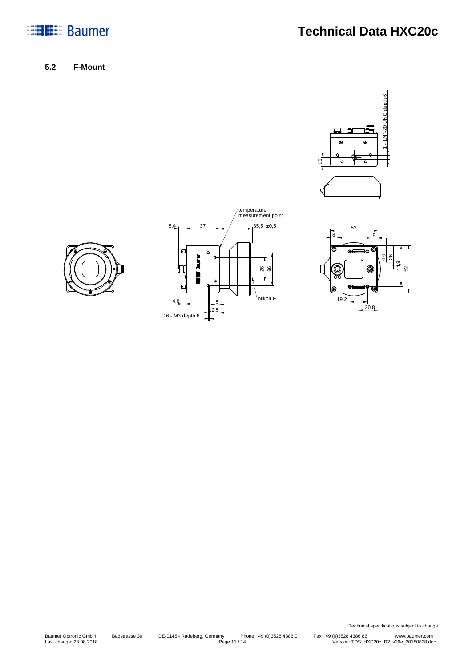

**Technical Data HXC20c**

**5.2 F-Mount**









Technical specifications subject to change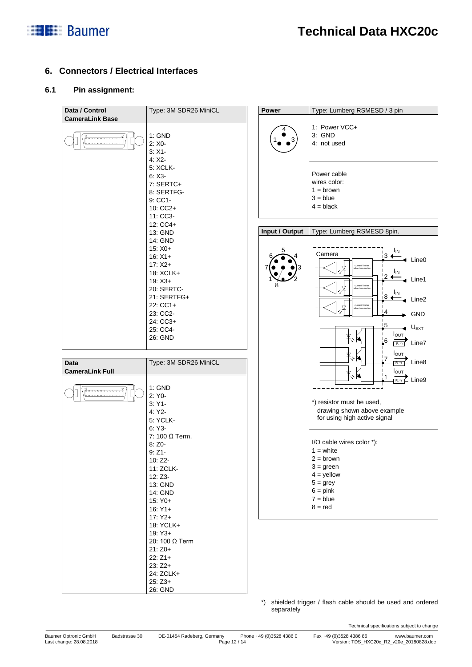

#### **6. Connectors / Electrical Interfaces**

#### **6.1 Pin assignment:**

| Data / Control         | Type: 3M SDR26 MiniCL        | Power          | Type: Lumberg RSMESD / 3 pin                                |
|------------------------|------------------------------|----------------|-------------------------------------------------------------|
| <b>CameraLink Base</b> |                              |                | 1: Power VCC+                                               |
|                        | 1: GND<br>$2: X0 -$          |                | 3: GND<br>4: not used                                       |
|                        | $3: X1 -$<br>4: X2           |                |                                                             |
|                        | <b>5: XCLK-</b><br>$6: X3 -$ |                | Power cable                                                 |
|                        | 7: SERTC+                    |                | wires color:<br>$1 =$ brown                                 |
|                        | 8: SERTFG-<br>9: CC1-        |                | $3 = blue$                                                  |
|                        | 10: CC2+<br>11: CC3-         |                | $4 = black$                                                 |
|                        | 12: CC4+<br>13: GND          | Input / Output | Type: Lumberg RSMESD 8pin.                                  |
|                        | 14: GND                      |                |                                                             |
|                        | $15: X0+$<br>$16: X1+$       |                | I <sub>IN</sub><br>Camera<br>⊥з ←<br>$\triangleleft$ Line0  |
|                        | $17: X2+$<br>18: XCLK+       |                | current limiter<br>ΙM<br>¦2 <del>(</del> ‴                  |
|                        | $19: X3+$<br>20: SERTC-      |                | Line1<br>current limiter                                    |
|                        | 21: SERTFG+<br>22: CC1+      |                | I <sub>IN</sub><br>Line2<br>current limite                  |
|                        | 23: CC2-                     |                | !4<br>GND                                                   |
|                        | 24: CC3+<br>25: CC4-         |                | 15<br>$U_{EXT}$                                             |
|                        | 26: GND                      |                | $I_{\text{OUT}}$<br>6<br>$\overline{R_i \gamma}$ Line7      |
| <b>Data</b>            | Type: 3M SDR26 MiniCL        |                | Ιουτ<br>$\mathsf{\Sigma}$ Line8<br>$R_L$ <sup>*</sup> )     |
| <b>CameraLink Full</b> |                              |                | $I_{\text{OUT}}$                                            |
|                        | 1: GND                       |                | Line9<br>$R_L$ <sup>*</sup> )                               |
|                        | 2: Y0-<br>$3:Y1-$            |                | *) resistor must be used,                                   |
|                        | 4: Y2<br>5: YCLK-            |                | drawing shown above example<br>for using high active signal |
|                        | $6:Y3-$<br>7: 100 Ω Term.    |                |                                                             |
|                        | 8: Z0-                       |                | I/O cable wires color *):                                   |
|                        | $9:Z1-$<br>10: Z2-           |                | $1 = white$<br>$2 = brown$                                  |
|                        | 11: ZCLK-<br>12: Z3-         |                | $3 = green$<br>$4 =$ yellow                                 |
|                        | 13: GND                      |                | $5 =$ grey<br>$6 = pink$                                    |
|                        | 14: GND<br>15: Y0+           |                | $7 = blue$                                                  |
|                        | $16:Y1+$<br>$17:Y2+$         |                | $8 = red$                                                   |
|                        | 18: YCLK+<br>$19:Y3+$        |                |                                                             |
|                        | 20: 100 Ω Term<br>$21:Z0+$   |                |                                                             |
|                        | $22:Z1+$                     |                |                                                             |
|                        | $23:Z2+$<br>24: ZCLK+        |                |                                                             |
|                        | $25:Z3+$<br>26: GND          |                |                                                             |

\*) shielded trigger / flash cable should be used and ordered separately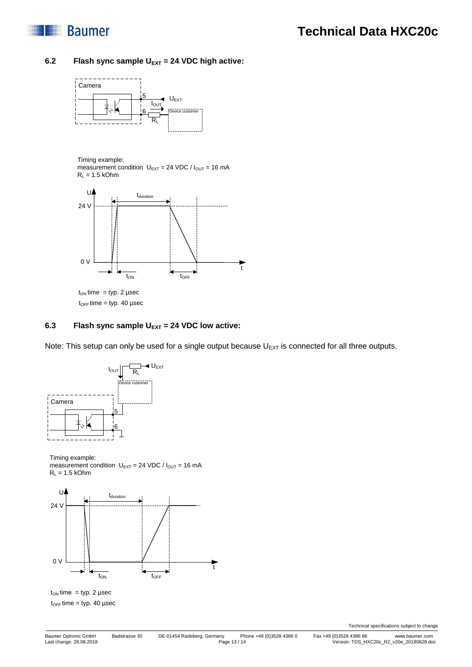

#### **6.2 Flash sync sample UEXT = 24 VDC high active:**



Timing example:

measurement condition  $U_{\text{EXT}} = 24 \text{ VDC} / I_{\text{OUT}} = 16 \text{ mA}$  $R_L = 1.5$  kOhm



 $t_{OFF}$  time = typ. 40 µsec

#### **6.3 Flash sync sample UEXT = 24 VDC low active:**

Note: This setup can only be used for a single output because  $U_{EXT}$  is connected for all three outputs.



Timing example:

measurement condition  $U_{EXT} = 24 \text{ VDC} / I_{OUT} = 16 \text{ mA}$  $R_L = 1.5$  kOhm



 $t_{ON}$  time = typ. 2 µsec  $t_{OFF}$  time = typ. 40 µsec